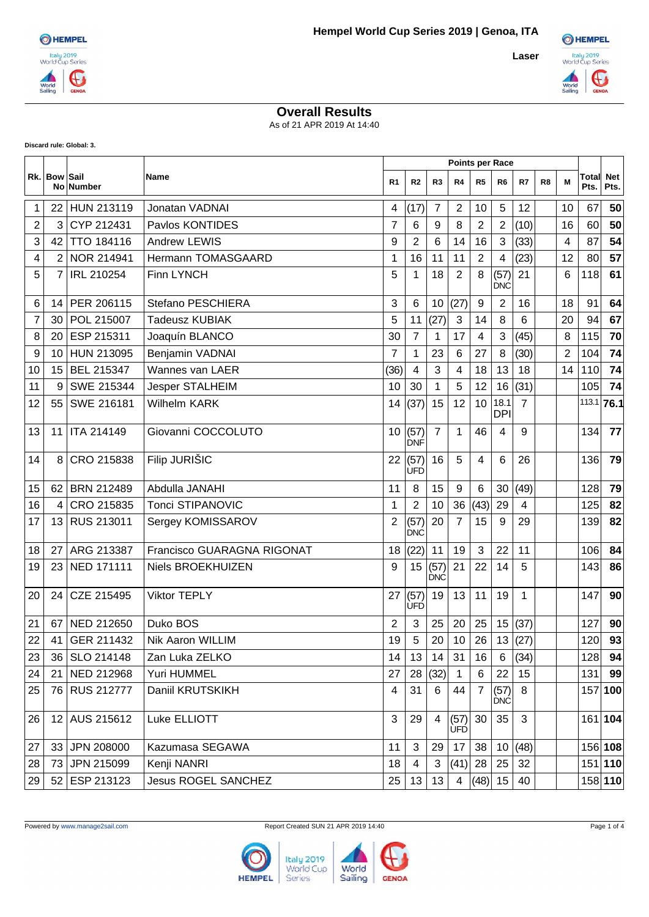

## **Overall Results**

As of 21 APR 2019 At 14:40

**Discard rule: Global: 3.**

|                |                |                   |                                   |                |                    |                    |                    | <b>Points per Race</b> |                    |                |                |                |                          |         |
|----------------|----------------|-------------------|-----------------------------------|----------------|--------------------|--------------------|--------------------|------------------------|--------------------|----------------|----------------|----------------|--------------------------|---------|
|                | Rk. Bow Sail   | No Number         | Name                              | R <sub>1</sub> | R <sub>2</sub>     | R3                 | R4                 | R <sub>5</sub>         | R6                 | R7             | R <sub>8</sub> | M              | <b>Total Net</b><br>Pts. | Pts.    |
| 1              | 22             | <b>HUN 213119</b> | Jonatan VADNAI                    | 4              | (17)               | 7                  | 2                  | 10                     | 5                  | 12             |                | 10             | 67                       | 50      |
| 2              | 3              | CYP 212431        | Paylos KONTIDES                   | 7              | 6                  | 9                  | 8                  | 2                      | $\overline{2}$     | (10)           |                | 16             | 60                       | 50      |
| 3              | 42             | <b>TTO 184116</b> | <b>Andrew LEWIS</b>               | 9              | $\overline{2}$     | 6                  | 14                 | 16                     | 3                  | (33)           |                | 4              | 87                       | 54      |
| 4              | $\overline{2}$ | NOR 214941        | Hermann TOMASGAARD                | 1              | 16                 | 11                 | 11                 | $\overline{2}$         | 4                  | (23)           |                | 12             | 80                       | 57      |
| 5              | $\overline{7}$ | <b>IRL 210254</b> | <b>Finn LYNCH</b>                 | 5              | 1                  | 18                 | $\overline{2}$     | 8                      | (57)<br><b>DNC</b> | 21             |                | 6              | 118                      | 61      |
| 6              | 14             | PER 206115        | Stefano PESCHIERA                 | 3              | 6                  | 10                 | (27)               | 9                      | $\overline{2}$     | 16             |                | 18             | 91                       | 64      |
| $\overline{7}$ | 30             | POL 215007        | <b>Tadeusz KUBIAK</b>             | 5              | 11                 | (27)               | 3                  | 14                     | 8                  | 6              |                | 20             | 94                       | 67      |
| 8              | 20             | ESP 215311        | Joaquín BLANCO                    | 30             | 7                  | 1                  | 17                 | 4                      | 3                  | (45)           |                | 8              | 115                      | 70      |
| 9              | 10             | HUN 213095        | Benjamin VADNAI                   | $\overline{7}$ | 1                  | 23                 | 6                  | 27                     | 8                  | (30)           |                | $\overline{2}$ | 104                      | 74      |
| 10             | 15             | BEL 215347        | Wannes van LAER                   | (36)           | 4                  | 3                  | 4                  | 18                     | 13                 | 18             |                | 14             | 110                      | 74      |
| 11             | 9              | SWE 215344        | Jesper STALHEIM                   | 10             | 30                 | $\mathbf{1}$       | 5                  | 12                     | 16                 | (31)           |                |                | 105                      | 74      |
| 12             | 55             | SWE 216181        | Wilhelm KARK                      | 14             | (37)               | 15                 | 12                 | 10                     | 18.1<br>DPI        | $\overline{7}$ |                |                | $113.1$ 76.1             |         |
| 13             | 11             | ITA 214149        | Giovanni COCCOLUTO                | 10             | (57)<br>DNF        | $\overline{7}$     | 1                  | 46                     | 4                  | 9              |                |                | 134                      | 77      |
| 14             | 8              | CRO 215838        | Filip JURIŠIC                     | 22             | (57)<br><b>UFD</b> | 16                 | 5                  | 4                      | 6                  | 26             |                |                | 136                      | 79      |
| 15             | 62             | <b>BRN 212489</b> | Abdulla JANAHI                    | 11             | 8                  | 15                 | 9                  | 6                      | 30                 | (49)           |                |                | 128                      | 79      |
| 16             | 4              | CRO 215835        | <b>Tonci STIPANOVIC</b>           | $\mathbf 1$    | $\overline{2}$     | 10                 | 36                 | (43)                   | 29                 | 4              |                |                | 125                      | 82      |
| 17             | 13             | RUS 213011        | Sergey KOMISSAROV                 | 2              | (57)<br><b>DNC</b> | 20                 | $\overline{7}$     | 15                     | 9                  | 29             |                |                | 139                      | 82      |
| 18             | 27             | ARG 213387        | <b>Francisco GUARAGNA RIGONAT</b> | 18             | (22)               | 11                 | 19                 | 3                      | 22                 | 11             |                |                | 106                      | 84      |
| 19             | 23             | <b>NED 171111</b> | Niels BROEKHUIZEN                 | 9              | 15                 | (57)<br><b>DNC</b> | 21                 | 22                     | 14                 | 5              |                |                | 143                      | 86      |
| 20             | 24             | CZE 215495        | <b>Viktor TEPLY</b>               | 27             | (57)<br><b>UFD</b> | 19                 | 13                 | 11                     | 19                 | 1              |                |                | 147                      | 90      |
| 21             | 67             | NED 212650        | Duko BOS                          | $\overline{2}$ | 3                  | 25                 | 20                 | 25                     |                    | 15(37)         |                |                | 127                      | 90      |
| $22\,$         | 41             | GER 211432        | Nik Aaron WILLIM                  | 19             | $\,$ 5 $\,$        | $20\,$             | $10\,$             | 26                     |                    | 13(27)         |                |                | 120                      | 93      |
| 23             | 36             | SLO 214148        | Zan Luka ZELKO                    | 14             | 13                 | 14                 | 31                 | 16                     | 6                  | (34)           |                |                | 128                      | 94      |
| 24             | 21             | NED 212968        | Yuri HUMMEL                       | 27             | 28                 | (32)               | 1                  | 6                      | 22                 | 15             |                |                | 131                      | 99      |
| 25             |                | 76 RUS 212777     | Daniil KRUTSKIKH                  | 4              | 31                 | 6                  | 44                 | 7                      | (57)<br><b>DNĆ</b> | 8              |                |                |                          | 157 100 |
| 26             |                | 12 AUS 215612     | Luke ELLIOTT                      | 3              | 29                 | 4                  | (57)<br><b>UFD</b> | 30                     | 35                 | 3              |                |                |                          | 161 104 |
| 27             | 33             | JPN 208000        | Kazumasa SEGAWA                   | 11             | 3                  | 29                 | 17                 | 38                     | 10                 | (48)           |                |                |                          | 156 108 |
| 28             | 73             | JPN 215099        | Kenji NANRI                       | 18             | 4                  | 3                  | (41)               | 28                     | 25                 | 32             |                |                |                          | 151 110 |
| 29             |                | 52 ESP 213123     | <b>Jesus ROGEL SANCHEZ</b>        | 25             | 13                 | 13                 | 4                  | (48)                   | 15                 | 40             |                |                |                          | 158 110 |





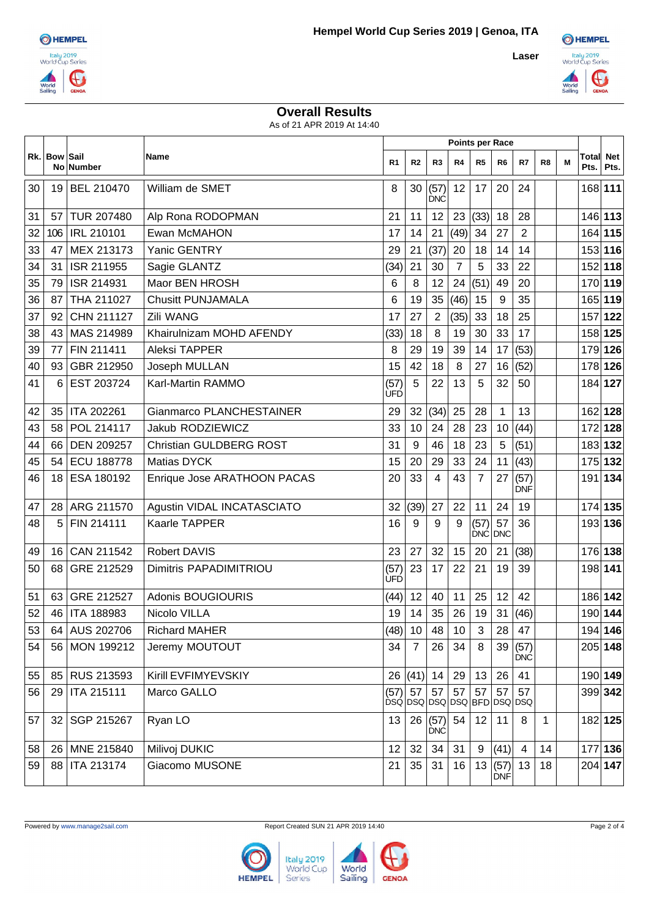



## **Overall Results**

As of 21 APR 2019 At 14:40

|    |                 |                   |                                | <b>Points per Race</b> |                |                                           |                 |                    |                    |                    |             |   |               |                    |
|----|-----------------|-------------------|--------------------------------|------------------------|----------------|-------------------------------------------|-----------------|--------------------|--------------------|--------------------|-------------|---|---------------|--------------------|
|    | Rk. Bow Sail    | No Number         | Name                           | R1                     | R <sub>2</sub> | R3                                        | R4              | R <sub>5</sub>     | R6                 | R7                 | R8          | M | Total<br>Pts. | <b>Net</b><br>Pts. |
| 30 | 19              | BEL 210470        | William de SMET                | 8                      | 30             | (57)<br><b>DNC</b>                        | 12              | 17                 | 20                 | 24                 |             |   | 168 111       |                    |
| 31 | 57              | <b>TUR 207480</b> | Alp Rona RODOPMAN              | 21                     | 11             | 12                                        | 23              | (33)               | 18                 | 28                 |             |   | 146 113       |                    |
| 32 | 106             | <b>IRL 210101</b> | Ewan McMAHON                   | 17                     | 14             | 21                                        | (49)            | 34                 | 27                 | $\overline{2}$     |             |   | 164 115       |                    |
| 33 | 47              | MEX 213173        | Yanic GENTRY                   | 29                     | 21             | (37)                                      | 20              | 18                 | 14                 | 14                 |             |   | 153 116       |                    |
| 34 | 31              | ISR 211955        | Sagie GLANTZ                   | (34)                   | 21             | 30                                        | $\overline{7}$  | 5                  | 33                 | 22                 |             |   | 152 118       |                    |
| 35 | 79              | ISR 214931        | Maor BEN HROSH                 | 6                      | 8              | 12                                        | 24              | (51)               | 49                 | 20                 |             |   | 170 119       |                    |
| 36 | 87              | THA 211027        | <b>Chusitt PUNJAMALA</b>       | 6                      | 19             | 35                                        | (46)            | 15                 | 9                  | 35                 |             |   | 165 119       |                    |
| 37 | 92              | CHN 211127        | Zili WANG                      | 17                     | 27             | $\overline{2}$                            | (35)            | 33                 | 18                 | 25                 |             |   | 157 122       |                    |
| 38 | 43              | MAS 214989        | Khairulnizam MOHD AFENDY       | (33)                   | 18             | 8                                         | 19              | 30                 | 33                 | 17                 |             |   | 158 125       |                    |
| 39 | 77              | FIN 211411        | <b>Aleksi TAPPER</b>           | 8                      | 29             | 19                                        | 39              | 14                 | 17                 | (53)               |             |   | 179 126       |                    |
| 40 | 93              | GBR 212950        | Joseph MULLAN                  | 15                     | 42             | 18                                        | 8               | 27                 | 16                 | (52)               |             |   | 178 126       |                    |
| 41 | 6               | EST 203724        | Karl-Martin RAMMO              | (57)<br>UFD            | 5              | 22                                        | 13              | 5                  | 32                 | 50                 |             |   | 184 127       |                    |
| 42 | 35              | ITA 202261        | Gianmarco PLANCHESTAINER       | 29                     | 32             | (34)                                      | 25              | 28                 | 1                  | 13                 |             |   | 162 128       |                    |
| 43 | 58              | POL 214117        | Jakub RODZIEWICZ               | 33                     | 10             | 24                                        | 28              | 23                 | 10                 | (44)               |             |   | 172 128       |                    |
| 44 | 66              | <b>DEN 209257</b> | <b>Christian GULDBERG ROST</b> | 31                     | 9              | 46                                        | 18              | 23                 | 5                  | (51)               |             |   | 183 132       |                    |
| 45 | 54              | <b>ECU 188778</b> | Matias DYCK                    | 15                     | 20             | 29                                        | 33              | 24                 | 11                 | (43)               |             |   | 175 132       |                    |
| 46 | 18              | ESA 180192        | Enrique Jose ARATHOON PACAS    | 20                     | 33             | 4                                         | 43              | 7                  | 27                 | (57)<br><b>DNF</b> |             |   | 191 134       |                    |
| 47 | 28              | ARG 211570        | Agustin VIDAL INCATASCIATO     | 32                     | (39)           | 27                                        | 22              | 11                 | 24                 | 19                 |             |   | 174 135       |                    |
| 48 | 5               | FIN 214111        | Kaarle TAPPER                  | 16                     | 9              | 9                                         | 9               | (57)<br><b>DNC</b> | 57<br><b>DNC</b>   | 36                 |             |   | 193 136       |                    |
| 49 | 16              | CAN 211542        | <b>Robert DAVIS</b>            | 23                     | 27             | 32                                        | 15              | 20                 | 21                 | (38)               |             |   | 176 138       |                    |
| 50 | 68              | GRE 212529        | Dimitris PAPADIMITRIOU         | (57)<br><b>ÚFD</b>     | 23             | 17                                        | 22              | 21                 | 19                 | 39                 |             |   | 198 141       |                    |
| 51 | 63              | GRE 212527        | Adonis BOUGIOURIS              | (44)                   | 12             | 40                                        | 11              | 25                 | 12                 | 42                 |             |   | 186 142       |                    |
| 52 | 46              | <b>ITA 188983</b> | Nicolo VILLA                   | 19                     | 14             | 35                                        | 26              | 19                 | 31                 | (46)               |             |   | 190 144       |                    |
| 53 |                 | 64 AUS 202706     | <b>Richard MAHER</b>           |                        |                | $(48)$ 10 48                              | 10 <sup>°</sup> | 3                  | 28 47              |                    |             |   | 194 146       |                    |
| 54 | 56 <sub>1</sub> | MON 199212        | Jeremy MOUTOUT                 | 34                     | $\overline{7}$ | 26                                        | 34              | 8                  | 39                 | (57)<br><b>DNC</b> |             |   | 205 148       |                    |
| 55 | 85              | RUS 213593        | Kirill EVFIMYEVSKIY            | 26                     | (41)           | 14                                        | 29              | 13                 | 26                 | 41                 |             |   | 190 149       |                    |
| 56 | 29              | ITA 215111        | Marco GALLO                    | (57)                   | 57             | 57<br><u>bsálosolosolosolar olosoloso</u> | 57              | 57                 | 57                 | 57                 |             |   | 399 342       |                    |
| 57 | 32              | SGP 215267        | Ryan LO                        | 13                     | 26             | (57)<br><b>DNC</b>                        | 54              | 12                 | 11                 | 8                  | $\mathbf 1$ |   | 182 125       |                    |
| 58 | 26              | MNE 215840        | Milivoj DUKIC                  | 12                     | 32             | 34                                        | 31              | 9                  | (41)               | 4                  | 14          |   | 177 136       |                    |
| 59 | 88              | ITA 213174        | Giacomo MUSONE                 | 21                     | 35             | 31                                        | 16              | 13                 | (57)<br><b>DNF</b> | 13                 | 18          |   | 204 147       |                    |



**HEMPEL** 

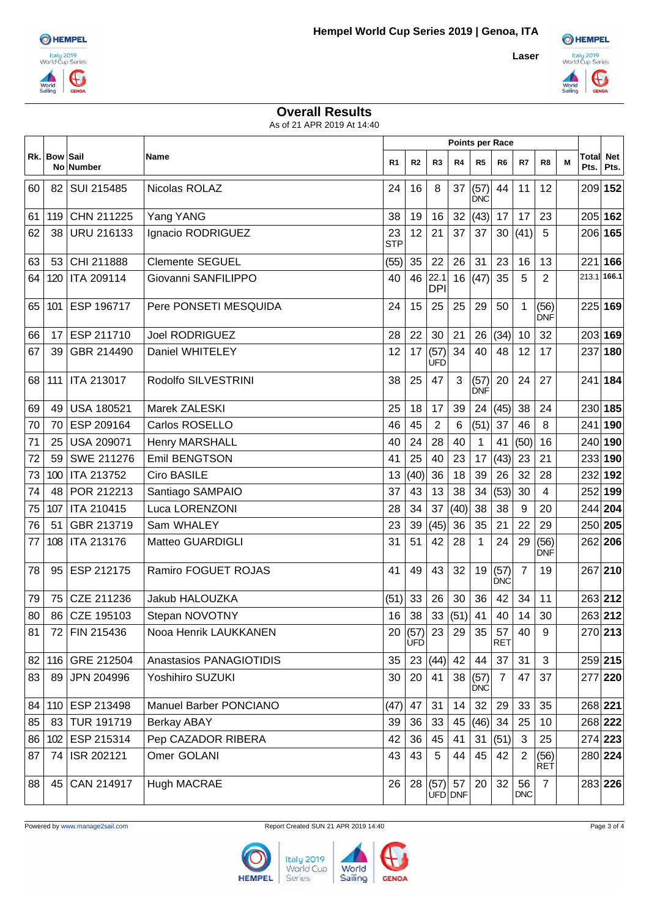



## **Overall Results**

As of 21 APR 2019 At 14:40

|    |              |                   |                         | <b>Points per Race</b> |                |                    |      |                    |                    |                  |                    |   |               |                    |
|----|--------------|-------------------|-------------------------|------------------------|----------------|--------------------|------|--------------------|--------------------|------------------|--------------------|---|---------------|--------------------|
|    | Rk. Bow Sail | <b>No Number</b>  | Name                    | R1                     | R <sub>2</sub> | R <sub>3</sub>     | R4   | R <sub>5</sub>     | R <sub>6</sub>     | R7               | R <sub>8</sub>     | M | Total<br>Pts. | <b>Net</b><br>Pts. |
| 60 | 82           | SUI 215485        | Nicolas ROLAZ           | 24                     | 16             | 8                  | 37   | (57)<br><b>DNC</b> | 44                 | 11               | 12                 |   | 209 152       |                    |
| 61 | 119          | CHN 211225        | Yang YANG               | 38                     | 19             | 16                 | 32   | (43)               | 17                 | 17               | 23                 |   | 205 162       |                    |
| 62 | 38           | <b>URU 216133</b> | Ignacio RODRIGUEZ       | 23<br><b>STP</b>       | 12             | 21                 | 37   | 37                 | 30                 | (41)             | 5                  |   | 206 165       |                    |
| 63 | 53           | CHI 211888        | <b>Clemente SEGUEL</b>  | (55)                   | 35             | 22                 | 26   | 31                 | 23                 | 16               | 13                 |   | 221           | 166                |
| 64 | 120          | ITA 209114        | Giovanni SANFILIPPO     | 40                     | 46             | 22.1<br><b>DPI</b> | 16   | (47)               | 35                 | 5                | $\overline{2}$     |   | 213.1 166.1   |                    |
| 65 | 101          | ESP 196717        | Pere PONSETI MESQUIDA   | 24                     | 15             | 25                 | 25   | 29                 | 50                 | $\mathbf{1}$     | (56)<br>DNF        |   | 225 169       |                    |
| 66 | 17           | ESP 211710        | <b>Joel RODRIGUEZ</b>   | 28                     | 22             | 30                 | 21   | 26                 | (34)               | 10               | 32                 |   | 203 169       |                    |
| 67 | 39           | GBR 214490        | Daniel WHITELEY         | 12                     | 17             | (57)<br>UFD        | 34   | 40                 | 48                 | 12               | 17                 |   | 237 180       |                    |
| 68 | 111          | ITA 213017        | Rodolfo SILVESTRINI     | 38                     | 25             | 47                 | 3    | (57)<br>DNF        | 20                 | 24               | 27                 |   | 241 184       |                    |
| 69 | 49           | <b>USA 180521</b> | Marek ZALESKI           | 25                     | 18             | 17                 | 39   | 24                 | (45)               | 38               | 24                 |   | 230 185       |                    |
| 70 | 70           | ESP 209164        | Carlos ROSELLO          | 46                     | 45             | $\overline{2}$     | 6    | (51)               | 37                 | 46               | 8                  |   | 241 190       |                    |
| 71 | 25           | <b>USA 209071</b> | <b>Henry MARSHALL</b>   | 40                     | 24             | 28                 | 40   | $\mathbf{1}$       | 41                 | (50)             | 16                 |   | 240 190       |                    |
| 72 | 59           | SWE 211276        | Emil BENGTSON           | 41                     | 25             | 40                 | 23   | 17                 | (43)               | 23               | 21                 |   | 233 190       |                    |
| 73 | 100          | ITA 213752        | Ciro BASILE             | 13                     | (40)           | 36                 | 18   | 39                 | 26                 | 32               | 28                 |   | 232 192       |                    |
| 74 | 48           | POR 212213        | Santiago SAMPAIO        | 37                     | 43             | 13                 | 38   | 34                 | (53)               | 30               | 4                  |   | 252 199       |                    |
| 75 | 107          | ITA 210415        | Luca LORENZONI          | 28                     | 34             | 37                 | (40) | 38                 | 38                 | 9                | 20                 |   | 244 204       |                    |
| 76 | 51           | GBR 213719        | Sam WHALEY              | 23                     | 39             | (45)               | 36   | 35                 | 21                 | 22               | 29                 |   | 250 205       |                    |
| 77 | 108          | ITA 213176        | Matteo GUARDIGLI        | 31                     | 51             | 42                 | 28   | 1                  | 24                 | 29               | (56)<br><b>DNF</b> |   | 262 206       |                    |
| 78 | 95           | ESP 212175        | Ramiro FOGUET ROJAS     | 41                     | 49             | 43                 | 32   | 19                 | (57)<br><b>DNC</b> | 7                | 19                 |   | 267 210       |                    |
| 79 | 75           | CZE 211236        | Jakub HALOUZKA          | (51)                   | 33             | 26                 | 30   | 36                 | 42                 | 34               | 11                 |   | 263 212       |                    |
| 80 | 86           | CZE 195103        | Stepan NOVOTNY          | 16                     | 38             | 33                 | (51) | 41                 | 40                 | 14               | 30                 |   | 263 212       |                    |
| 81 |              | 72 FIN 215436     | Nooa Henrik LAUKKANEN   | 20                     | (57)<br>ÙFD    | 23                 | 29   | 35                 | 57<br><b>RET</b>   | 40               | 9                  |   | 270 213       |                    |
| 82 | 116          | GRE 212504        | Anastasios PANAGIOTIDIS | 35                     | 23             | (44)               | 42   | 44                 | 37                 | 31               | 3                  |   | 259 215       |                    |
| 83 | 89           | JPN 204996        | Yoshihiro SUZUKI        | 30                     | 20             | 41                 | 38   | (57)<br><b>DNC</b> | $\overline{7}$     | 47               | 37                 |   | 277 220       |                    |
| 84 | 110          | ESP 213498        | Manuel Barber PONCIANO  | (47)                   | 47             | 31                 | 14   | 32                 | 29                 | 33               | 35                 |   | 268 221       |                    |
| 85 | 83           | TUR 191719        | <b>Berkay ABAY</b>      | 39                     | 36             | 33                 | 45   | (46)               | 34                 | 25               | 10                 |   | 268 222       |                    |
| 86 | 102          | ESP 215314        | Pep CAZADOR RIBERA      | 42                     | 36             | 45                 | 41   | 31                 | (51)               | 3                | 25                 |   | 274 223       |                    |
| 87 | 74           | ISR 202121        | Omer GOLANI             | 43                     | 43             | 5                  | 44   | 45                 | 42                 | $\overline{2}$   | (56)<br><b>RET</b> |   | 280 224       |                    |
| 88 | 45           | CAN 214917        | <b>Hugh MACRAE</b>      | 26                     | 28             | (57)<br>UFD DNF    | 57   | 20                 | 32                 | 56<br><b>DNC</b> | $\overline{7}$     |   | 283 226       |                    |

Powered by www.manage2sail.com Report Created SUN 21 APR 2019 14:40 Page 3 of 4